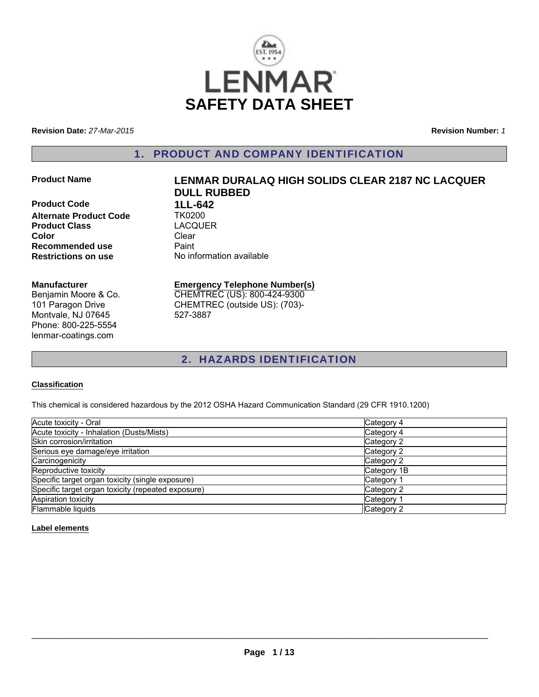

**Revision Date:** *27-Mar-2015*

**Revision Number:** *1*

# 1. PRODUCT AND COMPANY IDENTIFICATION

**Product Code 1LL-642**<br>Alternate Product Code TK0200 **Alternate Product Code Product Class** LACQUER **Color** Clear **Recommended use** Paint<br> **Restrictions on use** No inf

# **Product Name LENMAR DURALAQ HIGH SOLIDS CLEAR 2187 NC LACQUER DULL RUBBED No information available**

**Manufacturer**

Benjamin Moore & Co. 101 Paragon Drive Montvale, NJ 07645 Phone: 800-225-5554 lenmar-coatings.com

# **Emergency Telephone Number(s)** CHEMTREC (US): 800-424-9300

CHEMTREC (outside US): (703)- 527-3887

# 2. HAZARDS IDENTIFICATION

#### **Classification**

This chemical is considered hazardous by the 2012 OSHA Hazard Communication Standard (29 CFR 1910.1200)

| Acute toxicity - Oral                              | Category 4  |
|----------------------------------------------------|-------------|
| Acute toxicity - Inhalation (Dusts/Mists)          | Category 4  |
| Skin corrosion/irritation                          | Category 2  |
| Serious eye damage/eye irritation                  | Category 2  |
| Carcinogenicity                                    | Category 2  |
| Reproductive toxicity                              | Category 1B |
| Specific target organ toxicity (single exposure)   | Category 1  |
| Specific target organ toxicity (repeated exposure) | Category 2  |
| Aspiration toxicity                                | Category 1  |
| Flammable liquids                                  | Category 2  |

#### **Label elements**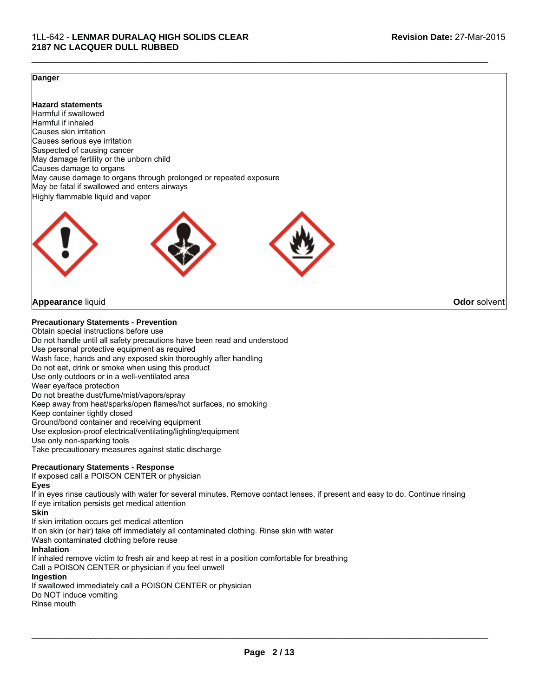#### **Danger**

Highly flammable liquid and vapor **Hazard statements** Harmful if swallowed Harmful if inhaled Causes skin irritation Causes serious eye irritation Suspected of causing cancer May damage fertility or the unborn child Causes damage to organs May cause damage to organs through prolonged or repeated exposure May be fatal if swallowed and enters airways



#### **Appearance** liquid **Odor** solvent

**Precautionary Statements - Prevention**

Obtain special instructions before use Do not handle until all safety precautions have been read and understood Use personal protective equipment as required Wash face, hands and any exposed skin thoroughly after handling Do not eat, drink or smoke when using this product Use only outdoors or in a well-ventilated area Wear eye/face protection Do not breathe dust/fume/mist/vapors/spray Keep away from heat/sparks/open flames/hot surfaces, no smoking Keep container tightly closed Ground/bond container and receiving equipment Use explosion-proof electrical/ventilating/lighting/equipment Use only non-sparking tools Take precautionary measures against static discharge

#### **Precautionary Statements - Response**

If exposed call a POISON CENTER or physician **Eyes**

If in eyes rinse cautiously with water for several minutes. Remove contact lenses, if present and easy to do. Continue rinsing If eye irritation persists get medical attention

 $\mathcal{L}_\mathcal{L} = \{ \mathcal{L}_\mathcal{L} = \{ \mathcal{L}_\mathcal{L} = \{ \mathcal{L}_\mathcal{L} = \{ \mathcal{L}_\mathcal{L} = \{ \mathcal{L}_\mathcal{L} = \{ \mathcal{L}_\mathcal{L} = \{ \mathcal{L}_\mathcal{L} = \{ \mathcal{L}_\mathcal{L} = \{ \mathcal{L}_\mathcal{L} = \{ \mathcal{L}_\mathcal{L} = \{ \mathcal{L}_\mathcal{L} = \{ \mathcal{L}_\mathcal{L} = \{ \mathcal{L}_\mathcal{L} = \{ \mathcal{L}_\mathcal{$ 

#### **Skin**

If skin irritation occurs get medical attention

If on skin (or hair) take off immediately all contaminated clothing. Rinse skin with water

Wash contaminated clothing before reuse

#### **Inhalation**

If inhaled remove victim to fresh air and keep at rest in a position comfortable for breathing Call a POISON CENTER or physician if you feel unwell **Ingestion** If swallowed immediately call a POISON CENTER or physician Do NOT induce vomiting Rinse mouth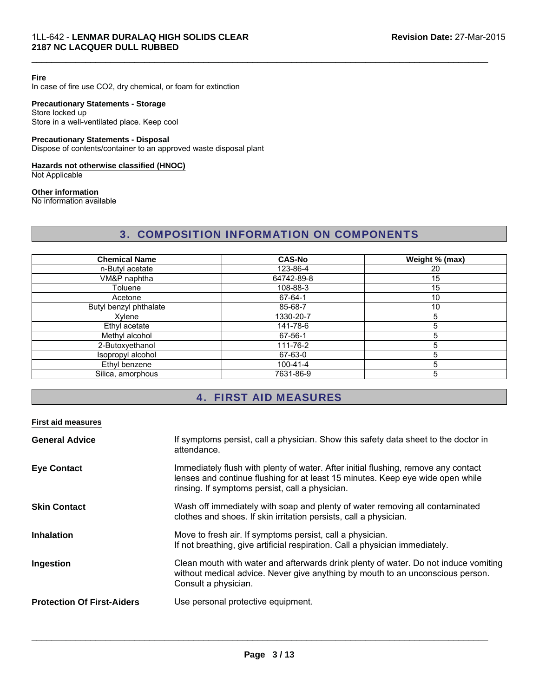#### **Fire**

In case of fire use CO2, dry chemical, or foam for extinction

#### **Precautionary Statements - Storage**

Store locked up Store in a well-ventilated place. Keep cool

### **Precautionary Statements - Disposal**

Dispose of contents/container to an approved waste disposal plant

# **Hazards not otherwise classified (HNOC)**

Not Applicable

#### **Other information**

No information available

# 3. COMPOSITION INFORMATION ON COMPONENTS

 $\mathcal{L}_\mathcal{L} = \{ \mathcal{L}_\mathcal{L} = \{ \mathcal{L}_\mathcal{L} = \{ \mathcal{L}_\mathcal{L} = \{ \mathcal{L}_\mathcal{L} = \{ \mathcal{L}_\mathcal{L} = \{ \mathcal{L}_\mathcal{L} = \{ \mathcal{L}_\mathcal{L} = \{ \mathcal{L}_\mathcal{L} = \{ \mathcal{L}_\mathcal{L} = \{ \mathcal{L}_\mathcal{L} = \{ \mathcal{L}_\mathcal{L} = \{ \mathcal{L}_\mathcal{L} = \{ \mathcal{L}_\mathcal{L} = \{ \mathcal{L}_\mathcal{$ 

| <b>Chemical Name</b>   | <b>CAS-No</b>  | Weight % (max) |
|------------------------|----------------|----------------|
| n-Butyl acetate        | 123-86-4       | 20             |
| VM&P naphtha           | 64742-89-8     | 15             |
| Toluene                | 108-88-3       | 15             |
| Acetone                | 67-64-1        | 10             |
| Butyl benzyl phthalate | 85-68-7        | 10             |
| Xvlene                 | 1330-20-7      | 5              |
| Ethyl acetate          | 141-78-6       | 5              |
| Methyl alcohol         | 67-56-1        | 5              |
| 2-Butoxyethanol        | 111-76-2       | 5              |
| Isopropyl alcohol      | 67-63-0        | 5              |
| Ethyl benzene          | $100 - 41 - 4$ | 5              |
| Silica, amorphous      | 7631-86-9      | 5              |

# 4. FIRST AID MEASURES

#### **First aid measures**

| <b>General Advice</b>             | If symptoms persist, call a physician. Show this safety data sheet to the doctor in<br>attendance.                                                                                                                      |
|-----------------------------------|-------------------------------------------------------------------------------------------------------------------------------------------------------------------------------------------------------------------------|
| <b>Eye Contact</b>                | Immediately flush with plenty of water. After initial flushing, remove any contact<br>lenses and continue flushing for at least 15 minutes. Keep eye wide open while<br>rinsing. If symptoms persist, call a physician. |
| <b>Skin Contact</b>               | Wash off immediately with soap and plenty of water removing all contaminated<br>clothes and shoes. If skin irritation persists, call a physician.                                                                       |
| <b>Inhalation</b>                 | Move to fresh air. If symptoms persist, call a physician.<br>If not breathing, give artificial respiration. Call a physician immediately.                                                                               |
| Ingestion                         | Clean mouth with water and afterwards drink plenty of water. Do not induce vomiting<br>without medical advice. Never give anything by mouth to an unconscious person.<br>Consult a physician.                           |
| <b>Protection Of First-Aiders</b> | Use personal protective equipment.                                                                                                                                                                                      |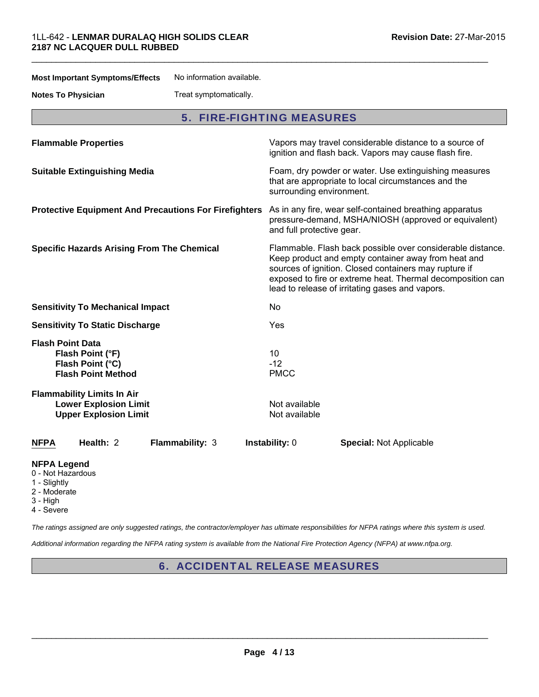**Most Important Symptoms/Effects** No information available.

**Notes To Physician** Treat symptomatically.

|  |  |  |  |  | <b>5. FIRE-FIGHTING MEASURES</b> |
|--|--|--|--|--|----------------------------------|
|--|--|--|--|--|----------------------------------|

 $\mathcal{L}_\mathcal{L} = \{ \mathcal{L}_\mathcal{L} = \{ \mathcal{L}_\mathcal{L} = \{ \mathcal{L}_\mathcal{L} = \{ \mathcal{L}_\mathcal{L} = \{ \mathcal{L}_\mathcal{L} = \{ \mathcal{L}_\mathcal{L} = \{ \mathcal{L}_\mathcal{L} = \{ \mathcal{L}_\mathcal{L} = \{ \mathcal{L}_\mathcal{L} = \{ \mathcal{L}_\mathcal{L} = \{ \mathcal{L}_\mathcal{L} = \{ \mathcal{L}_\mathcal{L} = \{ \mathcal{L}_\mathcal{L} = \{ \mathcal{L}_\mathcal{$ 

| <b>Flammable Properties</b>                                                                       | Vapors may travel considerable distance to a source of<br>ignition and flash back. Vapors may cause flash fire.                                                                                                                                                                             |
|---------------------------------------------------------------------------------------------------|---------------------------------------------------------------------------------------------------------------------------------------------------------------------------------------------------------------------------------------------------------------------------------------------|
| <b>Suitable Extinguishing Media</b>                                                               | Foam, dry powder or water. Use extinguishing measures<br>that are appropriate to local circumstances and the<br>surrounding environment.                                                                                                                                                    |
| <b>Protective Equipment And Precautions For Firefighters</b>                                      | As in any fire, wear self-contained breathing apparatus<br>pressure-demand, MSHA/NIOSH (approved or equivalent)<br>and full protective gear.                                                                                                                                                |
| <b>Specific Hazards Arising From The Chemical</b>                                                 | Flammable. Flash back possible over considerable distance.<br>Keep product and empty container away from heat and<br>sources of ignition. Closed containers may rupture if<br>exposed to fire or extreme heat. Thermal decomposition can<br>lead to release of irritating gases and vapors. |
| <b>Sensitivity To Mechanical Impact</b>                                                           | No.                                                                                                                                                                                                                                                                                         |
| <b>Sensitivity To Static Discharge</b>                                                            | Yes                                                                                                                                                                                                                                                                                         |
| <b>Flash Point Data</b><br>Flash Point (°F)<br>Flash Point (°C)<br><b>Flash Point Method</b>      | 10<br>$-12$<br><b>PMCC</b>                                                                                                                                                                                                                                                                  |
| <b>Flammability Limits In Air</b><br><b>Lower Explosion Limit</b><br><b>Upper Explosion Limit</b> | Not available<br>Not available                                                                                                                                                                                                                                                              |
| Health: 2<br>Flammability: 3<br><b>NFPA</b>                                                       | Instability: 0<br><b>Special: Not Applicable</b>                                                                                                                                                                                                                                            |
| <b>NFPA Legend</b><br>0 - Not Hazardous<br>1 - Slightly                                           |                                                                                                                                                                                                                                                                                             |

- 2 Moderate
- 3 High
- 4 Severe

*The ratings assigned are only suggested ratings, the contractor/employer has ultimate responsibilities for NFPA ratings where this system is used.*

*Additional information regarding the NFPA rating system is available from the National Fire Protection Agency (NFPA) at www.nfpa.org.*

6. ACCIDENTAL RELEASE MEASURES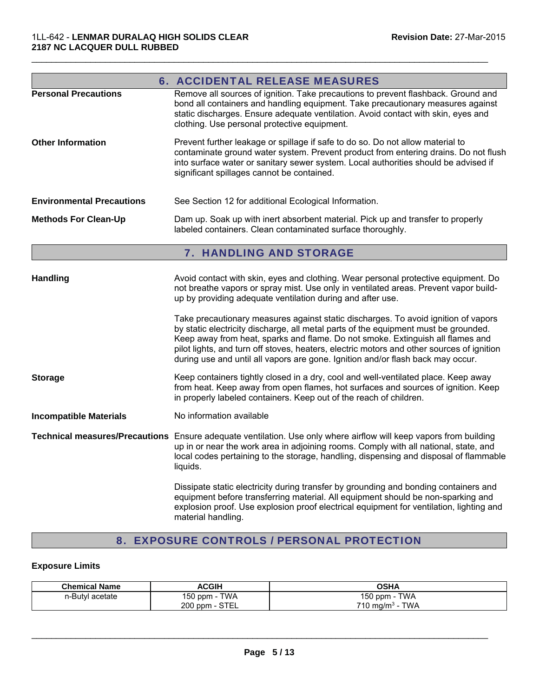|                                  | <b>6. ACCIDENTAL RELEASE MEASURES</b>                                                                                                                                                                                                                                                                                                                                                                                                       |
|----------------------------------|---------------------------------------------------------------------------------------------------------------------------------------------------------------------------------------------------------------------------------------------------------------------------------------------------------------------------------------------------------------------------------------------------------------------------------------------|
| <b>Personal Precautions</b>      | Remove all sources of ignition. Take precautions to prevent flashback. Ground and<br>bond all containers and handling equipment. Take precautionary measures against<br>static discharges. Ensure adequate ventilation. Avoid contact with skin, eyes and<br>clothing. Use personal protective equipment.                                                                                                                                   |
| <b>Other Information</b>         | Prevent further leakage or spillage if safe to do so. Do not allow material to<br>contaminate ground water system. Prevent product from entering drains. Do not flush<br>into surface water or sanitary sewer system. Local authorities should be advised if<br>significant spillages cannot be contained.                                                                                                                                  |
| <b>Environmental Precautions</b> | See Section 12 for additional Ecological Information.                                                                                                                                                                                                                                                                                                                                                                                       |
| <b>Methods For Clean-Up</b>      | Dam up. Soak up with inert absorbent material. Pick up and transfer to properly<br>labeled containers. Clean contaminated surface thoroughly.                                                                                                                                                                                                                                                                                               |
|                                  | <b>7. HANDLING AND STORAGE</b>                                                                                                                                                                                                                                                                                                                                                                                                              |
| <b>Handling</b>                  | Avoid contact with skin, eyes and clothing. Wear personal protective equipment. Do<br>not breathe vapors or spray mist. Use only in ventilated areas. Prevent vapor build-<br>up by providing adequate ventilation during and after use.                                                                                                                                                                                                    |
|                                  | Take precautionary measures against static discharges. To avoid ignition of vapors<br>by static electricity discharge, all metal parts of the equipment must be grounded.<br>Keep away from heat, sparks and flame. Do not smoke. Extinguish all flames and<br>pilot lights, and turn off stoves, heaters, electric motors and other sources of ignition<br>during use and until all vapors are gone. Ignition and/or flash back may occur. |

**Storage** Keep containers tightly closed in a dry, cool and well-ventilated place. Keep away from heat. Keep away from open flames, hot surfaces and sources of ignition. Keep in properly labeled containers. Keep out of the reach of children.

**Incompatible Materials** No information available

**Technical measures/Precautions** Ensure adequate ventilation. Use only where airflow will keep vapors from building up in or near the work area in adjoining rooms. Comply with all national, state, and local codes pertaining to the storage, handling, dispensing and disposal of flammable liquids.

> Dissipate static electricity during transfer by grounding and bonding containers and equipment before transferring material. All equipment should be non-sparking and explosion proof. Use explosion proof electrical equipment for ventilation, lighting and material handling.

# 8. EXPOSURE CONTROLS / PERSONAL PROTECTION

#### **Exposure Limits**

| <b>Chemical Name</b> | <b>ACGIH</b>                 | OSHA                               |
|----------------------|------------------------------|------------------------------------|
| n-Butyl acetate      | <b>TWA</b><br>$150$ ppm<br>. | TWA<br>150 ppm -                   |
|                      | 200 ppm - STEL               | <b>TWA</b><br>$710 \text{ ma/m}^3$ |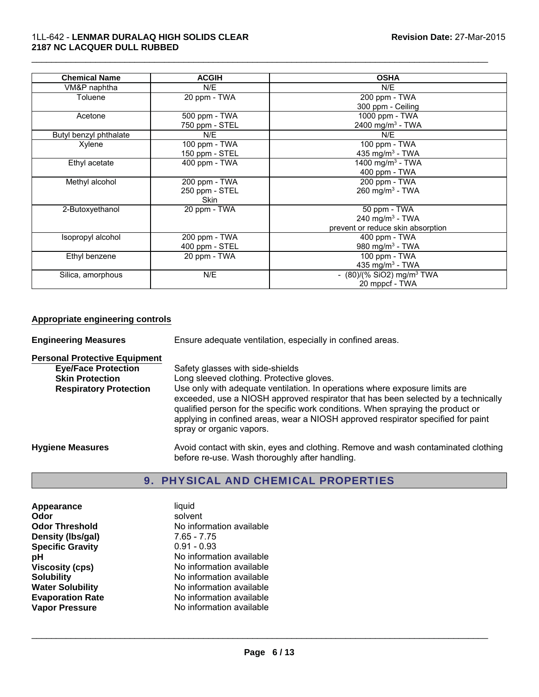#### 1LL-642 - **LENMAR DURALAQ HIGH SOLIDS CLEAR 2187 NC LACQUER DULL RUBBED**

| <b>Chemical Name</b>   | <b>ACGIH</b>   | <b>OSHA</b>                             |
|------------------------|----------------|-----------------------------------------|
| VM&P naphtha           | N/E            | N/E                                     |
| Toluene                | 20 ppm - TWA   | 200 ppm - TWA                           |
|                        |                | 300 ppm - Ceiling                       |
| Acetone                | 500 ppm - TWA  | 1000 ppm - TWA                          |
|                        | 750 ppm - STEL | 2400 mg/m <sup>3</sup> - TWA            |
| Butyl benzyl phthalate | N/E            | N/E                                     |
| Xylene                 | 100 ppm - TWA  | 100 ppm - TWA                           |
|                        | 150 ppm - STEL | 435 mg/m <sup>3</sup> - TWA             |
| Ethyl acetate          | 400 ppm - TWA  | 1400 mg/m <sup>3</sup> - TWA            |
|                        |                | 400 ppm - TWA                           |
| Methyl alcohol         | 200 ppm - TWA  | 200 ppm - TWA                           |
|                        | 250 ppm - STEL | $260$ mg/m <sup>3</sup> - TWA           |
|                        | <b>Skin</b>    |                                         |
| 2-Butoxyethanol        | 20 ppm - TWA   | 50 ppm - TWA                            |
|                        |                | 240 mg/m $3$ - TWA                      |
|                        |                | prevent or reduce skin absorption       |
| Isopropyl alcohol      | 200 ppm - TWA  | 400 ppm - TWA                           |
|                        | 400 ppm - STEL | 980 mg/m $3$ - TWA                      |
| Ethyl benzene          | 20 ppm - TWA   | 100 ppm - TWA                           |
|                        |                | 435 mg/m <sup>3</sup> - TWA             |
| Silica, amorphous      | N/E            | - $(80)/(%$ SiO2) mg/m <sup>3</sup> TWA |
|                        |                | 20 mppcf - TWA                          |

 $\mathcal{L}_\mathcal{L} = \{ \mathcal{L}_\mathcal{L} = \{ \mathcal{L}_\mathcal{L} = \{ \mathcal{L}_\mathcal{L} = \{ \mathcal{L}_\mathcal{L} = \{ \mathcal{L}_\mathcal{L} = \{ \mathcal{L}_\mathcal{L} = \{ \mathcal{L}_\mathcal{L} = \{ \mathcal{L}_\mathcal{L} = \{ \mathcal{L}_\mathcal{L} = \{ \mathcal{L}_\mathcal{L} = \{ \mathcal{L}_\mathcal{L} = \{ \mathcal{L}_\mathcal{L} = \{ \mathcal{L}_\mathcal{L} = \{ \mathcal{L}_\mathcal{$ 

# **Appropriate engineering controls**

| <b>Engineering Measures</b>          | Ensure adequate ventilation, especially in confined areas.                                                                                                                                                                                                                                                                                                          |  |
|--------------------------------------|---------------------------------------------------------------------------------------------------------------------------------------------------------------------------------------------------------------------------------------------------------------------------------------------------------------------------------------------------------------------|--|
| <b>Personal Protective Equipment</b> |                                                                                                                                                                                                                                                                                                                                                                     |  |
| <b>Eye/Face Protection</b>           | Safety glasses with side-shields                                                                                                                                                                                                                                                                                                                                    |  |
| <b>Skin Protection</b>               | Long sleeved clothing. Protective gloves.                                                                                                                                                                                                                                                                                                                           |  |
| <b>Respiratory Protection</b>        | Use only with adequate ventilation. In operations where exposure limits are<br>exceeded, use a NIOSH approved respirator that has been selected by a technically<br>qualified person for the specific work conditions. When spraying the product or<br>applying in confined areas, wear a NIOSH approved respirator specified for paint<br>spray or organic vapors. |  |
| <b>Hygiene Measures</b>              | Avoid contact with skin, eyes and clothing. Remove and wash contaminated clothing<br>before re-use. Wash thoroughly after handling.                                                                                                                                                                                                                                 |  |

# 9. PHYSICAL AND CHEMICAL PROPERTIES

| Appearance              | liquid                   |
|-------------------------|--------------------------|
| Odor                    | solvent                  |
| <b>Odor Threshold</b>   | No information available |
| Density (Ibs/gal)       | $7.65 - 7.75$            |
| <b>Specific Gravity</b> | $0.91 - 0.93$            |
| рH                      | No information available |
| <b>Viscosity (cps)</b>  | No information available |
| <b>Solubility</b>       | No information available |
| <b>Water Solubility</b> | No information available |
| <b>Evaporation Rate</b> | No information available |
| <b>Vapor Pressure</b>   | No information available |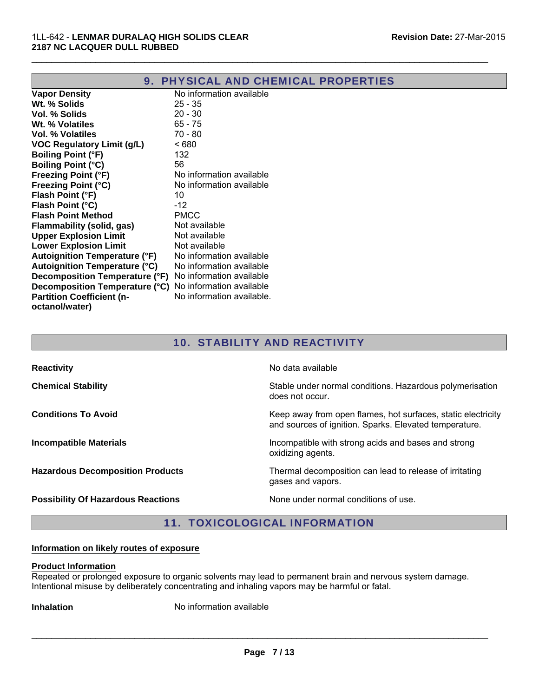| 9.                                   | <b>PHYSICAL AND CHEMICAL PROPERTIES</b> |
|--------------------------------------|-----------------------------------------|
| <b>Vapor Density</b>                 | No information available                |
| Wt. % Solids                         | $25 - 35$                               |
| Vol. % Solids                        | $20 - 30$                               |
| Wt. % Volatiles                      | $65 - 75$                               |
| Vol. % Volatiles                     | 70 - 80                                 |
| <b>VOC Regulatory Limit (g/L)</b>    | ~< 680                                  |
| <b>Boiling Point (°F)</b>            | 132                                     |
| <b>Boiling Point (°C)</b>            | 56                                      |
| <b>Freezing Point (°F)</b>           | No information available                |
| <b>Freezing Point (°C)</b>           | No information available                |
| Flash Point (°F)                     | 10                                      |
| Flash Point (°C)                     | $-12$                                   |
| <b>Flash Point Method</b>            | <b>PMCC</b>                             |
| Flammability (solid, gas)            | Not available                           |
| <b>Upper Explosion Limit</b>         | Not available                           |
| <b>Lower Explosion Limit</b>         | Not available                           |
| <b>Autoignition Temperature (°F)</b> | No information available                |
| <b>Autoignition Temperature (°C)</b> | No information available                |
| Decomposition Temperature (°F)       | No information available                |
| Decomposition Temperature (°C)       | No information available                |
| <b>Partition Coefficient (n-</b>     | No information available.               |
| octanol/water)                       |                                         |

# 10. STABILITY AND REACTIVITY

| <b>Reactivity</b>                         | No data available                                                                                                      |
|-------------------------------------------|------------------------------------------------------------------------------------------------------------------------|
| <b>Chemical Stability</b>                 | Stable under normal conditions. Hazardous polymerisation<br>does not occur.                                            |
| <b>Conditions To Avoid</b>                | Keep away from open flames, hot surfaces, static electricity<br>and sources of ignition. Sparks. Elevated temperature. |
| <b>Incompatible Materials</b>             | Incompatible with strong acids and bases and strong<br>oxidizing agents.                                               |
| <b>Hazardous Decomposition Products</b>   | Thermal decomposition can lead to release of irritating<br>gases and vapors.                                           |
| <b>Possibility Of Hazardous Reactions</b> | None under normal conditions of use.                                                                                   |

# 11. TOXICOLOGICAL INFORMATION

# **Information on likely routes of exposure**

#### **Product Information**

Repeated or prolonged exposure to organic solvents may lead to permanent brain and nervous system damage. Intentional misuse by deliberately concentrating and inhaling vapors may be harmful or fatal.

**Inhalation** No information available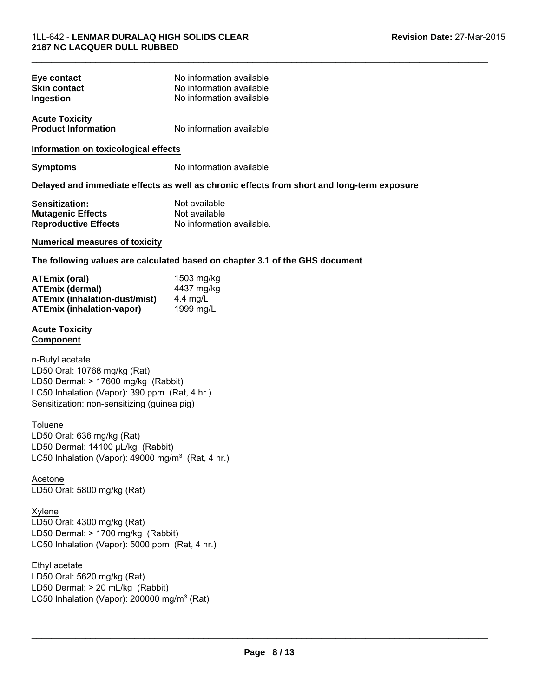| Eye contact                          | No information available                                                                   |
|--------------------------------------|--------------------------------------------------------------------------------------------|
| <b>Skin contact</b>                  | No information available                                                                   |
| Ingestion                            | No information available                                                                   |
| <b>Acute Toxicity</b>                |                                                                                            |
| <b>Product Information</b>           | No information available                                                                   |
| Information on toxicological effects |                                                                                            |
| <b>Symptoms</b>                      | No information available                                                                   |
|                                      | Delayed and immediate effects as well as chronic effects from short and long-term exposure |

| <b>Sensitization:</b>       | Not available             |
|-----------------------------|---------------------------|
| <b>Mutagenic Effects</b>    | Not available             |
| <b>Reproductive Effects</b> | No information available. |

### **Numerical measures of toxicity**

**The following values are calculated based on chapter 3.1 of the GHS document**

 $\mathcal{L}_\mathcal{L} = \{ \mathcal{L}_\mathcal{L} = \{ \mathcal{L}_\mathcal{L} = \{ \mathcal{L}_\mathcal{L} = \{ \mathcal{L}_\mathcal{L} = \{ \mathcal{L}_\mathcal{L} = \{ \mathcal{L}_\mathcal{L} = \{ \mathcal{L}_\mathcal{L} = \{ \mathcal{L}_\mathcal{L} = \{ \mathcal{L}_\mathcal{L} = \{ \mathcal{L}_\mathcal{L} = \{ \mathcal{L}_\mathcal{L} = \{ \mathcal{L}_\mathcal{L} = \{ \mathcal{L}_\mathcal{L} = \{ \mathcal{L}_\mathcal{$ 

| ATEmix (oral)                        | 1503 mg/kg |
|--------------------------------------|------------|
| <b>ATEmix (dermal)</b>               | 4437 mg/kg |
| <b>ATEmix (inhalation-dust/mist)</b> | 4.4 mg/L   |
| <b>ATEmix (inhalation-vapor)</b>     | 1999 mg/L  |

#### **Acute Toxicity Component**

LD50 Oral: 10768 mg/kg (Rat) LD50 Dermal: > 17600 mg/kg (Rabbit) n-Butyl acetate LC50 Inhalation (Vapor): 390 ppm (Rat, 4 hr.) Sensitization: non-sensitizing (guinea pig)

#### **Toluene**

LD50 Oral: 636 mg/kg (Rat) LD50 Dermal: 14100 μL/kg (Rabbit) LC50 Inhalation (Vapor): 49000 mg/m<sup>3</sup> (Rat, 4 hr.)

Acetone LD50 Oral: 5800 mg/kg (Rat)

Xylene LD50 Oral: 4300 mg/kg (Rat) LD50 Dermal: > 1700 mg/kg (Rabbit) LC50 Inhalation (Vapor): 5000 ppm (Rat, 4 hr.)

# Ethyl acetate

LD50 Oral: 5620 mg/kg (Rat) LD50 Dermal: > 20 mL/kg (Rabbit) LC50 Inhalation (Vapor): 200000 mg/m $3$  (Rat)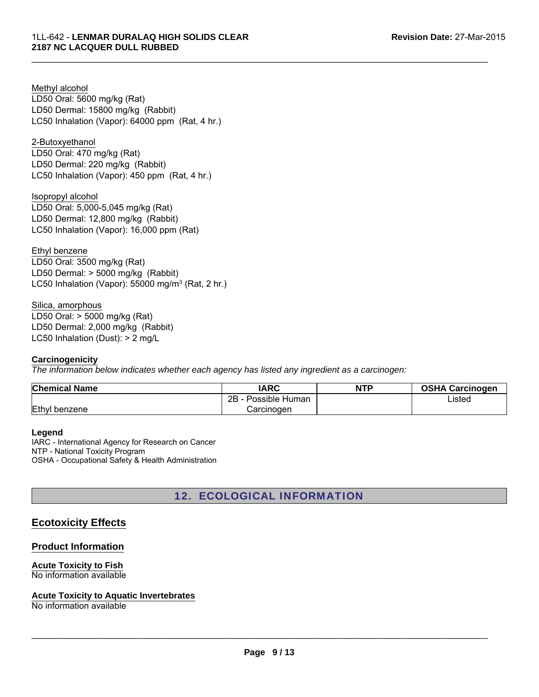LD50 Oral: 5600 mg/kg (Rat) LD50 Dermal: 15800 mg/kg (Rabbit) Methyl alcohol LC50 Inhalation (Vapor): 64000 ppm (Rat, 4 hr.)

# 2-Butoxyethanol

LD50 Oral: 470 mg/kg (Rat) LD50 Dermal: 220 mg/kg (Rabbit) LC50 Inhalation (Vapor): 450 ppm (Rat, 4 hr.)

LD50 Dermal: 12,800 mg/kg (Rabbit) LC50 Inhalation (Vapor): 16,000 ppm (Rat) Isopropyl alcohol LD50 Oral: 5,000-5,045 mg/kg (Rat)

Ethyl benzene LD50 Oral: 3500 mg/kg (Rat) LD50 Dermal: > 5000 mg/kg (Rabbit) LC50 Inhalation (Vapor): 55000 mg/m<sup>3</sup> (Rat, 2 hr.)

Silica, amorphous LD50 Oral: > 5000 mg/kg (Rat) LD50 Dermal: 2,000 mg/kg (Rabbit) LC50 Inhalation (Dust): > 2 mg/L

#### **Carcinogenicity**

*The information below indicates whether each agency has listed any ingredient as a carcinogen:*

| <b>Chemical Name</b> | IARC                 | <b>NTP</b> | <b>OSHA Carcinogen</b> |
|----------------------|----------------------|------------|------------------------|
|                      | םר<br>Possible Human |            | Listed                 |
| Ethyl benzene        | Carcinogen           |            |                        |

 $\mathcal{L}_\mathcal{L} = \{ \mathcal{L}_\mathcal{L} = \{ \mathcal{L}_\mathcal{L} = \{ \mathcal{L}_\mathcal{L} = \{ \mathcal{L}_\mathcal{L} = \{ \mathcal{L}_\mathcal{L} = \{ \mathcal{L}_\mathcal{L} = \{ \mathcal{L}_\mathcal{L} = \{ \mathcal{L}_\mathcal{L} = \{ \mathcal{L}_\mathcal{L} = \{ \mathcal{L}_\mathcal{L} = \{ \mathcal{L}_\mathcal{L} = \{ \mathcal{L}_\mathcal{L} = \{ \mathcal{L}_\mathcal{L} = \{ \mathcal{L}_\mathcal{$ 

**Legend**

IARC - International Agency for Research on Cancer NTP - National Toxicity Program OSHA - Occupational Safety & Health Administration

# 12. ECOLOGICAL INFORMATION

# **Ecotoxicity Effects**

# **Product Information**

#### **Acute Toxicity to Fish** No information available

# **Acute Toxicity to Aquatic Invertebrates**

No information available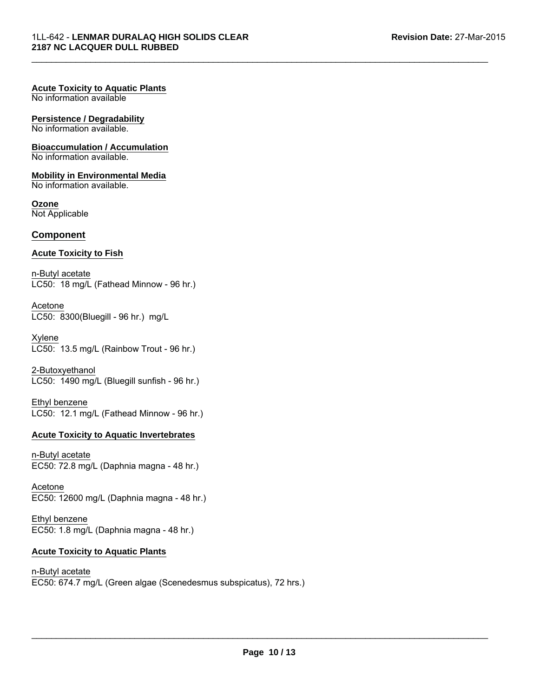#### **Acute Toxicity to Aquatic Plants**

No information available

#### **Persistence / Degradability**

No information available.

#### **Bioaccumulation / Accumulation**

No information available.

#### **Mobility in Environmental Media**

No information available.

#### **Ozone**

Not Applicable

#### **Component**

#### **Acute Toxicity to Fish**

n-Butyl acetate LC50: 18 mg/L (Fathead Minnow - 96 hr.)

Acetone LC50: 8300(Bluegill - 96 hr.) mg/L

Xylene LC50: 13.5 mg/L (Rainbow Trout - 96 hr.)

2-Butoxyethanol LC50: 1490 mg/L (Bluegill sunfish - 96 hr.)

Ethyl benzene LC50: 12.1 mg/L (Fathead Minnow - 96 hr.)

#### **Acute Toxicity to Aquatic Invertebrates**

n-Butyl acetate EC50: 72.8 mg/L (Daphnia magna - 48 hr.)

Acetone EC50: 12600 mg/L (Daphnia magna - 48 hr.)

Ethyl benzene EC50: 1.8 mg/L (Daphnia magna - 48 hr.)

### **Acute Toxicity to Aquatic Plants**

n-Butyl acetate EC50: 674.7 mg/L (Green algae (Scenedesmus subspicatus), 72 hrs.)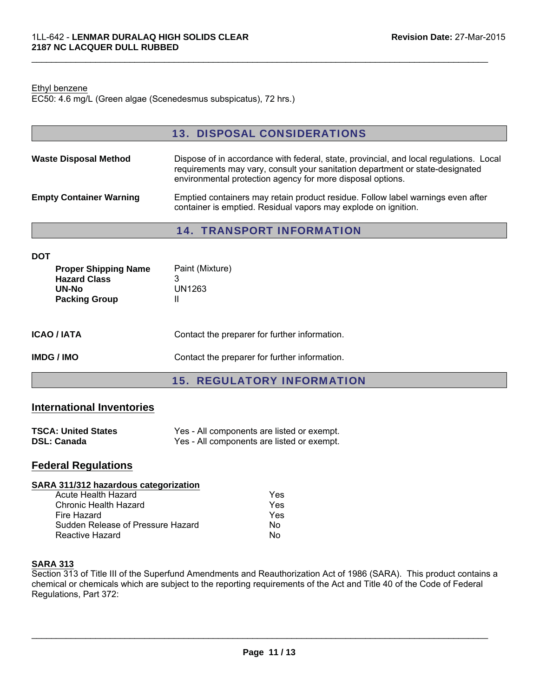#### Ethyl benzene

EC50: 4.6 mg/L (Green algae (Scenedesmus subspicatus), 72 hrs.)

|                                                                                     | <b>13. DISPOSAL CONSIDERATIONS</b>                                                                                                                                                                                                    |
|-------------------------------------------------------------------------------------|---------------------------------------------------------------------------------------------------------------------------------------------------------------------------------------------------------------------------------------|
| <b>Waste Disposal Method</b>                                                        | Dispose of in accordance with federal, state, provincial, and local regulations. Local<br>requirements may vary, consult your sanitation department or state-designated<br>environmental protection agency for more disposal options. |
| <b>Empty Container Warning</b>                                                      | Emptied containers may retain product residue. Follow label warnings even after<br>container is emptied. Residual vapors may explode on ignition.                                                                                     |
|                                                                                     | <b>14. TRANSPORT INFORMATION</b>                                                                                                                                                                                                      |
| <b>DOT</b>                                                                          |                                                                                                                                                                                                                                       |
| <b>Proper Shipping Name</b><br><b>Hazard Class</b><br>UN-No<br><b>Packing Group</b> | Paint (Mixture)<br>3<br>UN1263<br>Ш                                                                                                                                                                                                   |
| <b>ICAO / IATA</b>                                                                  | Contact the preparer for further information.                                                                                                                                                                                         |

 $\mathcal{L}_\mathcal{L} = \{ \mathcal{L}_\mathcal{L} = \{ \mathcal{L}_\mathcal{L} = \{ \mathcal{L}_\mathcal{L} = \{ \mathcal{L}_\mathcal{L} = \{ \mathcal{L}_\mathcal{L} = \{ \mathcal{L}_\mathcal{L} = \{ \mathcal{L}_\mathcal{L} = \{ \mathcal{L}_\mathcal{L} = \{ \mathcal{L}_\mathcal{L} = \{ \mathcal{L}_\mathcal{L} = \{ \mathcal{L}_\mathcal{L} = \{ \mathcal{L}_\mathcal{L} = \{ \mathcal{L}_\mathcal{L} = \{ \mathcal{L}_\mathcal{$ 

#### **IMDG / IMO** Contact the preparer for further information.

15. REGULATORY INFORMATION

#### **International Inventories**

| <b>TSCA: United States</b> | Yes - All components are listed or exempt. |
|----------------------------|--------------------------------------------|
| <b>DSL: Canada</b>         | Yes - All components are listed or exempt. |

# **Federal Regulations**

#### **SARA 311/312 hazardous categorization**

| Yes |
|-----|
| Yes |
| Yes |
| N٥  |
| N٥  |
|     |

#### **SARA 313**

Section 313 of Title III of the Superfund Amendments and Reauthorization Act of 1986 (SARA). This product contains a chemical or chemicals which are subject to the reporting requirements of the Act and Title 40 of the Code of Federal Regulations, Part 372: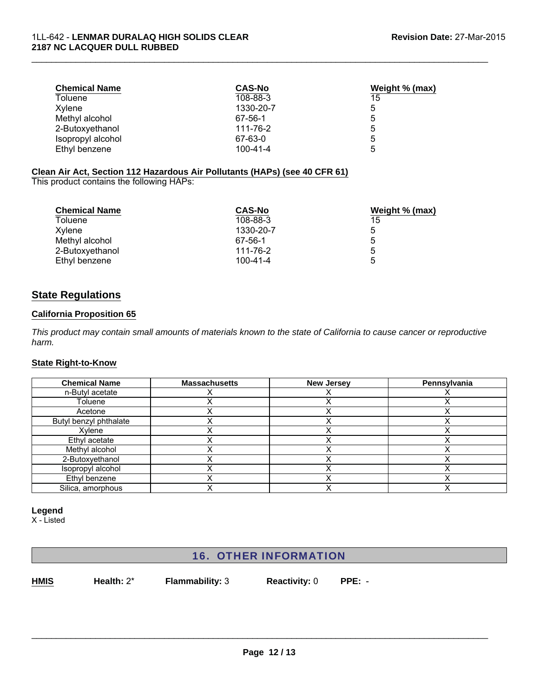| <b>Chemical Name</b> | <b>CAS-No</b>  | Weight % (max) |  |
|----------------------|----------------|----------------|--|
| Toluene              | 108-88-3       | 15             |  |
| Xvlene               | 1330-20-7      | 5              |  |
| Methyl alcohol       | 67-56-1        | 5              |  |
| 2-Butoxyethanol      | 111-76-2       | 5              |  |
| Isopropyl alcohol    | 67-63-0        | 5              |  |
| Ethyl benzene        | $100 - 41 - 4$ | 5              |  |

# **Clean Air Act, Section 112 Hazardous Air Pollutants (HAPs) (see 40 CFR 61)**

This product contains the following HAPs:

| <b>Chemical Name</b> | <b>CAS-No</b>  | Weight % (max) |
|----------------------|----------------|----------------|
| Toluene              | 108-88-3       | 15             |
| Xylene               | 1330-20-7      | 5              |
| Methyl alcohol       | 67-56-1        | 5              |
| 2-Butoxyethanol      | 111-76-2       | 5              |
| Ethyl benzene        | $100 - 41 - 4$ | 5              |

# **State Regulations**

#### **California Proposition 65**

*This product may contain small amounts of materials known to the state of California to cause cancer or reproductive harm.*

# **State Right-to-Know**

| <b>Chemical Name</b>   | <b>Massachusetts</b> | <b>New Jersey</b> | Pennsylvania |
|------------------------|----------------------|-------------------|--------------|
| n-Butyl acetate        |                      |                   |              |
| Toluene                |                      |                   |              |
| Acetone                |                      |                   |              |
| Butyl benzyl phthalate |                      |                   |              |
| Xylene                 |                      |                   |              |
| Ethyl acetate          |                      |                   |              |
| Methyl alcohol         |                      |                   |              |
| 2-Butoxyethanol        |                      |                   |              |
| Isopropyl alcohol      |                      |                   |              |
| Ethyl benzene          |                      |                   |              |
| Silica, amorphous      |                      |                   |              |

#### **Legend**

X - Listed

# 16. OTHER INFORMATION

**HMIS Health:** 2\* **Flammability:** 3 **Reactivity:** 0 **PPE:** -